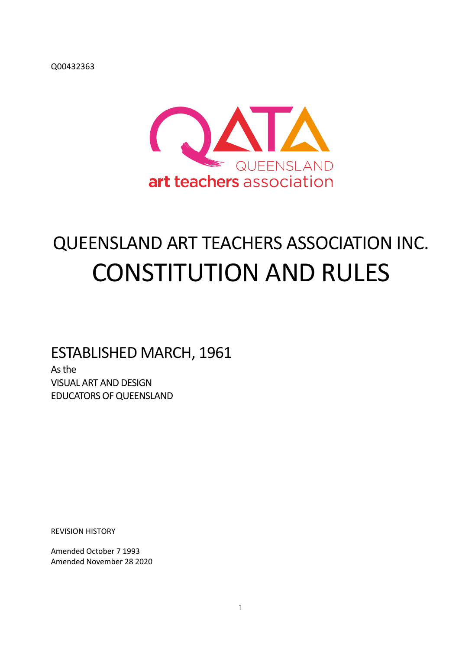Q00432363



# QUEENSLAND ART TEACHERS ASSOCIATION INC. CONSTITUTION AND RULES

## ESTABLISHED MARCH, 1961

As the VISUAL ART AND DESIGN EDUCATORS OF QUEENSLAND

REVISION HISTORY

Amended October 7 1993 Amended November 28 2020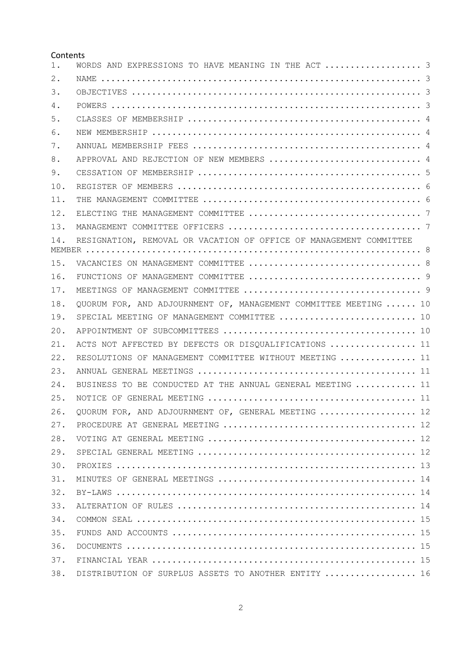#### Contents

| $1$ . | WORDS AND EXPRESSIONS TO HAVE MEANING IN THE ACT  3                |  |
|-------|--------------------------------------------------------------------|--|
| 2.    |                                                                    |  |
| 3.    |                                                                    |  |
| 4.    |                                                                    |  |
| 5.    |                                                                    |  |
| 6.    |                                                                    |  |
| 7.    |                                                                    |  |
| 8.    | APPROVAL AND REJECTION OF NEW MEMBERS  4                           |  |
| 9.    |                                                                    |  |
| 10.   |                                                                    |  |
| 11.   |                                                                    |  |
| 12.   |                                                                    |  |
| 13.   |                                                                    |  |
| 14.   | RESIGNATION, REMOVAL OR VACATION OF OFFICE OF MANAGEMENT COMMITTEE |  |
|       |                                                                    |  |
| 15.   |                                                                    |  |
| 16.   |                                                                    |  |
| 17.   |                                                                    |  |
| 18.   | QUORUM FOR, AND ADJOURNMENT OF, MANAGEMENT COMMITTEE MEETING  10   |  |
| 19.   | SPECIAL MEETING OF MANAGEMENT COMMITTEE  10                        |  |
| 20.   |                                                                    |  |
| 21.   | ACTS NOT AFFECTED BY DEFECTS OR DISQUALIFICATIONS  11              |  |
| 22.   | RESOLUTIONS OF MANAGEMENT COMMITTEE WITHOUT MEETING  11            |  |
| 23.   |                                                                    |  |
| 24.   | BUSINESS TO BE CONDUCTED AT THE ANNUAL GENERAL MEETING  11         |  |
| 25.   |                                                                    |  |
| 26.   | QUORUM FOR, AND ADJOURNMENT OF, GENERAL MEETING  12                |  |
| 27.   |                                                                    |  |
| 28.   |                                                                    |  |
| 29.   |                                                                    |  |
| 30.   |                                                                    |  |
| 31.   |                                                                    |  |
| 32.   |                                                                    |  |
| 33.   |                                                                    |  |
| 34.   |                                                                    |  |
| 35.   |                                                                    |  |
| 36.   |                                                                    |  |
| 37.   |                                                                    |  |
| 38.   | DISTRIBUTION OF SURPLUS ASSETS TO ANOTHER ENTITY  16               |  |
|       |                                                                    |  |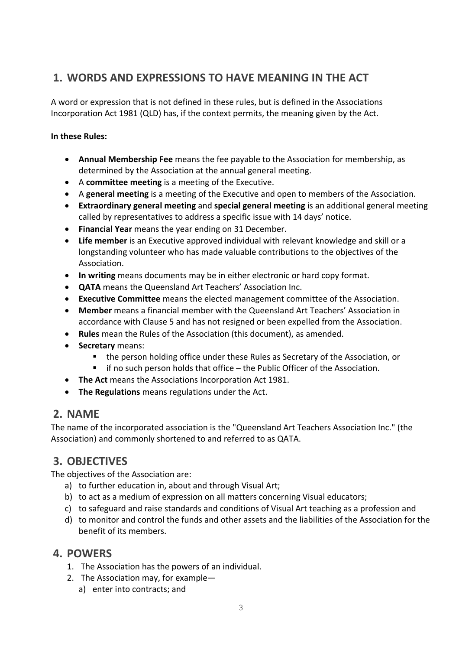## **1. WORDS AND EXPRESSIONS TO HAVE MEANING IN THE ACT**

A word or expression that is not defined in these rules, but is defined in the Associations Incorporation Act 1981 (QLD) has, if the context permits, the meaning given by the Act.

#### **In these Rules:**

- **Annual Membership Fee** means the fee payable to the Association for membership, as determined by the Association at the annual general meeting.
- A **committee meeting** is a meeting of the Executive.
- A **general meeting** is a meeting of the Executive and open to members of the Association.
- **Extraordinary general meeting** and **special general meeting** is an additional general meeting called by representatives to address a specific issue with 14 days' notice.
- **Financial Year** means the year ending on 31 December.
- **Life member** is an Executive approved individual with relevant knowledge and skill or a longstanding volunteer who has made valuable contributions to the objectives of the Association.
- **In writing** means documents may be in either electronic or hard copy format.
- **QATA** means the Queensland Art Teachers' Association Inc.
- **Executive Committee** means the elected management committee of the Association.
- **Member** means a financial member with the Queensland Art Teachers' Association in accordance with Clause 5 and has not resigned or been expelled from the Association.
- **Rules** mean the Rules of the Association (this document), as amended.
- **Secretary** means:
	- the person holding office under these Rules as Secretary of the Association, or
	- if no such person holds that office the Public Officer of the Association.
- **The Act** means the Associations Incorporation Act 1981.
- **The Regulations** means regulations under the Act.

## **2. NAME**

The name of the incorporated association is the "Queensland Art Teachers Association Inc." (the Association) and commonly shortened to and referred to as QATA.

## **3. OBJECTIVES**

The objectives of the Association are:

- a) to further education in, about and through Visual Art;
- b) to act as a medium of expression on all matters concerning Visual educators;
- c) to safeguard and raise standards and conditions of Visual Art teaching as a profession and
- d) to monitor and control the funds and other assets and the liabilities of the Association for the benefit of its members.

#### **4. POWERS**

- 1. The Association has the powers of an individual.
- 2. The Association may, for example
	- a) enter into contracts; and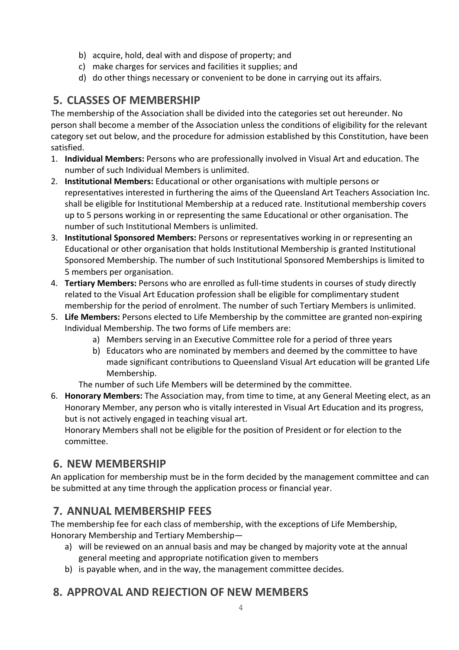- b) acquire, hold, deal with and dispose of property; and
- c) make charges for services and facilities it supplies; and
- d) do other things necessary or convenient to be done in carrying out its affairs.

## **5. CLASSES OF MEMBERSHIP**

The membership of the Association shall be divided into the categories set out hereunder. No person shall become a member of the Association unless the conditions of eligibility for the relevant category set out below, and the procedure for admission established by this Constitution, have been satisfied.

- 1. **Individual Members:** Persons who are professionally involved in Visual Art and education. The number of such Individual Members is unlimited.
- 2. **Institutional Members:** Educational or other organisations with multiple persons or representatives interested in furthering the aims of the Queensland Art Teachers Association Inc. shall be eligible for Institutional Membership at a reduced rate. Institutional membership covers up to 5 persons working in or representing the same Educational or other organisation. The number of such Institutional Members is unlimited.
- 3. **Institutional Sponsored Members:** Persons or representatives working in or representing an Educational or other organisation that holds Institutional Membership is granted Institutional Sponsored Membership. The number of such Institutional Sponsored Memberships is limited to 5 members per organisation.
- 4. **Tertiary Members:** Persons who are enrolled as full-time students in courses of study directly related to the Visual Art Education profession shall be eligible for complimentary student membership for the period of enrolment. The number of such Tertiary Members is unlimited.
- 5. **Life Members:** Persons elected to Life Membership by the committee are granted non-expiring Individual Membership. The two forms of Life members are:
	- a) Members serving in an Executive Committee role for a period of three years
	- b) Educators who are nominated by members and deemed by the committee to have made significant contributions to Queensland Visual Art education will be granted Life Membership.

The number of such Life Members will be determined by the committee.

6. **Honorary Members:** The Association may, from time to time, at any General Meeting elect, as an Honorary Member, any person who is vitally interested in Visual Art Education and its progress, but is not actively engaged in teaching visual art.

Honorary Members shall not be eligible for the position of President or for election to the committee.

## **6. NEW MEMBERSHIP**

An application for membership must be in the form decided by the management committee and can be submitted at any time through the application process or financial year.

## **7. ANNUAL MEMBERSHIP FEES**

The membership fee for each class of membership, with the exceptions of Life Membership, Honorary Membership and Tertiary Membership—

- a) will be reviewed on an annual basis and may be changed by majority vote at the annual general meeting and appropriate notification given to members
- b) is payable when, and in the way, the management committee decides.

## **8. APPROVAL AND REJECTION OF NEW MEMBERS**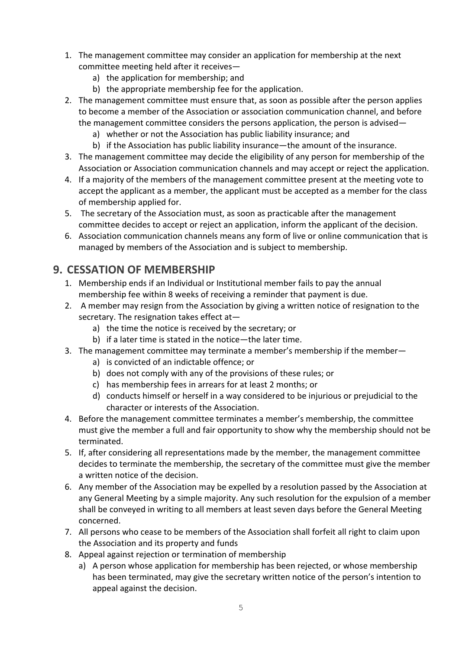- 1. The management committee may consider an application for membership at the next committee meeting held after it receives
	- a) the application for membership; and
	- b) the appropriate membership fee for the application.
- 2. The management committee must ensure that, as soon as possible after the person applies to become a member of the Association or association communication channel, and before the management committee considers the persons application, the person is advised
	- a) whether or not the Association has public liability insurance; and
	- b) if the Association has public liability insurance—the amount of the insurance.
- 3. The management committee may decide the eligibility of any person for membership of the Association or Association communication channels and may accept or reject the application.
- 4. If a majority of the members of the management committee present at the meeting vote to accept the applicant as a member, the applicant must be accepted as a member for the class of membership applied for.
- 5. The secretary of the Association must, as soon as practicable after the management committee decides to accept or reject an application, inform the applicant of the decision.
- 6. Association communication channels means any form of live or online communication that is managed by members of the Association and is subject to membership.

#### **9. CESSATION OF MEMBERSHIP**

- 1. Membership ends if an Individual or Institutional member fails to pay the annual membership fee within 8 weeks of receiving a reminder that payment is due.
- 2. A member may resign from the Association by giving a written notice of resignation to the secretary. The resignation takes effect at
	- a) the time the notice is received by the secretary; or
	- b) if a later time is stated in the notice—the later time.
- 3. The management committee may terminate a member's membership if the member
	- a) is convicted of an indictable offence; or
	- b) does not comply with any of the provisions of these rules; or
	- c) has membership fees in arrears for at least 2 months; or
	- d) conducts himself or herself in a way considered to be injurious or prejudicial to the character or interests of the Association.
- 4. Before the management committee terminates a member's membership, the committee must give the member a full and fair opportunity to show why the membership should not be terminated.
- 5. If, after considering all representations made by the member, the management committee decides to terminate the membership, the secretary of the committee must give the member a written notice of the decision.
- 6. Any member of the Association may be expelled by a resolution passed by the Association at any General Meeting by a simple majority. Any such resolution for the expulsion of a member shall be conveyed in writing to all members at least seven days before the General Meeting concerned.
- 7. All persons who cease to be members of the Association shall forfeit all right to claim upon the Association and its property and funds
- 8. Appeal against rejection or termination of membership
	- a) A person whose application for membership has been rejected, or whose membership has been terminated, may give the secretary written notice of the person's intention to appeal against the decision.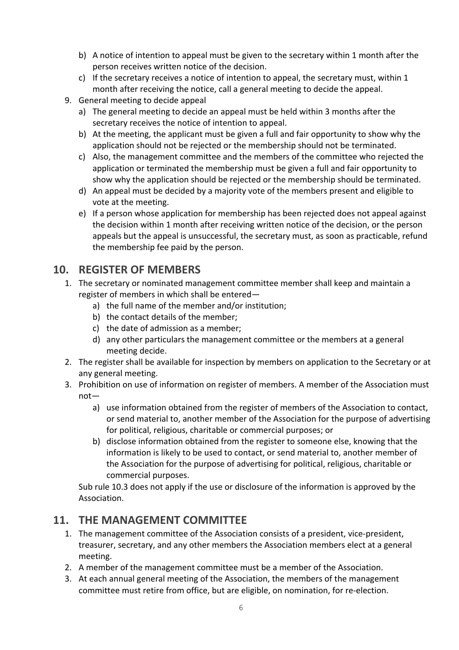- b) A notice of intention to appeal must be given to the secretary within 1 month after the person receives written notice of the decision.
- c) If the secretary receives a notice of intention to appeal, the secretary must, within 1 month after receiving the notice, call a general meeting to decide the appeal.
- 9. General meeting to decide appeal
	- a) The general meeting to decide an appeal must be held within 3 months after the secretary receives the notice of intention to appeal.
	- b) At the meeting, the applicant must be given a full and fair opportunity to show why the application should not be rejected or the membership should not be terminated.
	- c) Also, the management committee and the members of the committee who rejected the application or terminated the membership must be given a full and fair opportunity to show why the application should be rejected or the membership should be terminated.
	- d) An appeal must be decided by a majority vote of the members present and eligible to vote at the meeting.
	- e) If a person whose application for membership has been rejected does not appeal against the decision within 1 month after receiving written notice of the decision, or the person appeals but the appeal is unsuccessful, the secretary must, as soon as practicable, refund the membership fee paid by the person.

#### **10. REGISTER OF MEMBERS**

- 1. The secretary or nominated management committee member shall keep and maintain a register of members in which shall be entered
	- a) the full name of the member and/or institution;
	- b) the contact details of the member;
	- c) the date of admission as a member;
	- d) any other particulars the management committee or the members at a general meeting decide.
- 2. The register shall be available for inspection by members on application to the Secretary or at any general meeting.
- 3. Prohibition on use of information on register of members. A member of the Association must not
	- a) use information obtained from the register of members of the Association to contact, or send material to, another member of the Association for the purpose of advertising for political, religious, charitable or commercial purposes; or
	- b) disclose information obtained from the register to someone else, knowing that the information is likely to be used to contact, or send material to, another member of the Association for the purpose of advertising for political, religious, charitable or commercial purposes.

Sub rule 10.3 does not apply if the use or disclosure of the information is approved by the Association.

#### **11. THE MANAGEMENT COMMITTEE**

- 1. The management committee of the Association consists of a president, vice-president, treasurer, secretary, and any other members the Association members elect at a general meeting.
- 2. A member of the management committee must be a member of the Association.
- 3. At each annual general meeting of the Association, the members of the management committee must retire from office, but are eligible, on nomination, for re-election.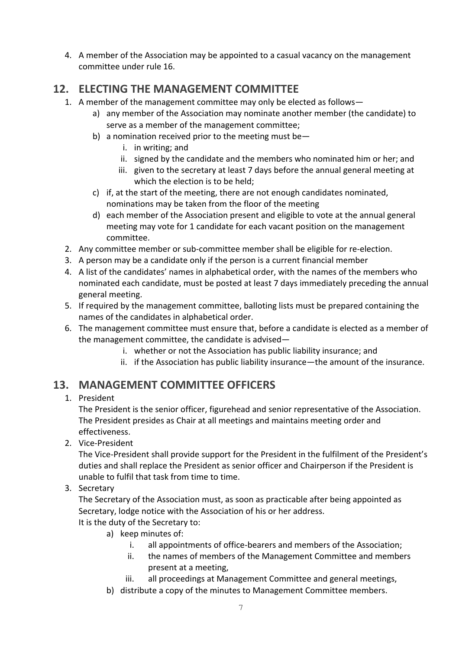4. A member of the Association may be appointed to a casual vacancy on the management committee under rule 16.

#### **12. ELECTING THE MANAGEMENT COMMITTEE**

- 1. A member of the management committee may only be elected as follows
	- a) any member of the Association may nominate another member (the candidate) to serve as a member of the management committee;
	- b) a nomination received prior to the meeting must be
		- i. in writing; and
		- ii. signed by the candidate and the members who nominated him or her; and
		- iii. given to the secretary at least 7 days before the annual general meeting at which the election is to be held;
	- c) if, at the start of the meeting, there are not enough candidates nominated, nominations may be taken from the floor of the meeting
	- d) each member of the Association present and eligible to vote at the annual general meeting may vote for 1 candidate for each vacant position on the management committee.
- 2. Any committee member or sub-committee member shall be eligible for re-election.
- 3. A person may be a candidate only if the person is a current financial member
- 4. A list of the candidates' names in alphabetical order, with the names of the members who nominated each candidate, must be posted at least 7 days immediately preceding the annual general meeting.
- 5. If required by the management committee, balloting lists must be prepared containing the names of the candidates in alphabetical order.
- 6. The management committee must ensure that, before a candidate is elected as a member of the management committee, the candidate is advised
	- i. whether or not the Association has public liability insurance; and
	- ii. if the Association has public liability insurance—the amount of the insurance.

#### **13. MANAGEMENT COMMITTEE OFFICERS**

#### 1. President

The President is the senior officer, figurehead and senior representative of the Association. The President presides as Chair at all meetings and maintains meeting order and effectiveness.

2. Vice-President

The Vice-President shall provide support for the President in the fulfilment of the President's duties and shall replace the President as senior officer and Chairperson if the President is unable to fulfil that task from time to time.

#### 3. Secretary

The Secretary of the Association must, as soon as practicable after being appointed as Secretary, lodge notice with the Association of his or her address. It is the duty of the Secretary to:

- a) keep minutes of:
	- i. all appointments of office-bearers and members of the Association;
	- ii. the names of members of the Management Committee and members present at a meeting,
	- iii. all proceedings at Management Committee and general meetings,
- b) distribute a copy of the minutes to Management Committee members.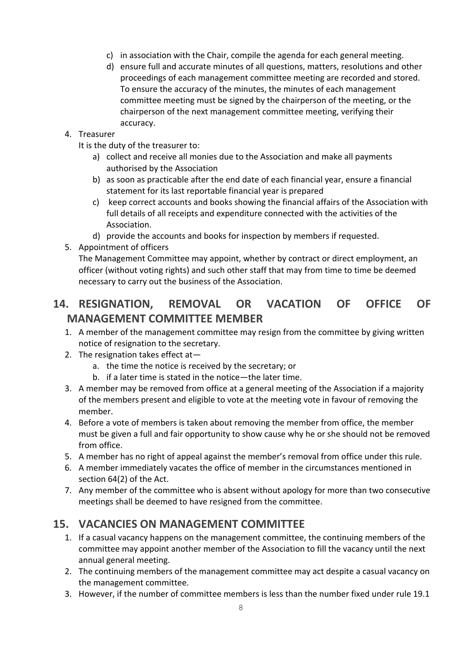- c) in association with the Chair, compile the agenda for each general meeting.
- d) ensure full and accurate minutes of all questions, matters, resolutions and other proceedings of each management committee meeting are recorded and stored. To ensure the accuracy of the minutes, the minutes of each management committee meeting must be signed by the chairperson of the meeting, or the chairperson of the next management committee meeting, verifying their accuracy.

#### 4. Treasurer

- It is the duty of the treasurer to:
	- a) collect and receive all monies due to the Association and make all payments authorised by the Association
	- b) as soon as practicable after the end date of each financial year, ensure a financial statement for its last reportable financial year is prepared
	- c) keep correct accounts and books showing the financial affairs of the Association with full details of all receipts and expenditure connected with the activities of the Association.
	- d) provide the accounts and books for inspection by members if requested.
- 5. Appointment of officers

The Management Committee may appoint, whether by contract or direct employment, an officer (without voting rights) and such other staff that may from time to time be deemed necessary to carry out the business of the Association.

## **14. RESIGNATION, REMOVAL OR VACATION OF OFFICE OF MANAGEMENT COMMITTEE MEMBER**

- 1. A member of the management committee may resign from the committee by giving written notice of resignation to the secretary.
- 2. The resignation takes effect at
	- a. the time the notice is received by the secretary; or
	- b. if a later time is stated in the notice—the later time.
- 3. A member may be removed from office at a general meeting of the Association if a majority of the members present and eligible to vote at the meeting vote in favour of removing the member.
- 4. Before a vote of members is taken about removing the member from office, the member must be given a full and fair opportunity to show cause why he or she should not be removed from office.
- 5. A member has no right of appeal against the member's removal from office under this rule.
- 6. A member immediately vacates the office of member in the circumstances mentioned in section 64(2) of the Act.
- 7. Any member of the committee who is absent without apology for more than two consecutive meetings shall be deemed to have resigned from the committee.

#### **15. VACANCIES ON MANAGEMENT COMMITTEE**

- 1. If a casual vacancy happens on the management committee, the continuing members of the committee may appoint another member of the Association to fill the vacancy until the next annual general meeting.
- 2. The continuing members of the management committee may act despite a casual vacancy on the management committee.
- 3. However, if the number of committee members is less than the number fixed under rule 19.1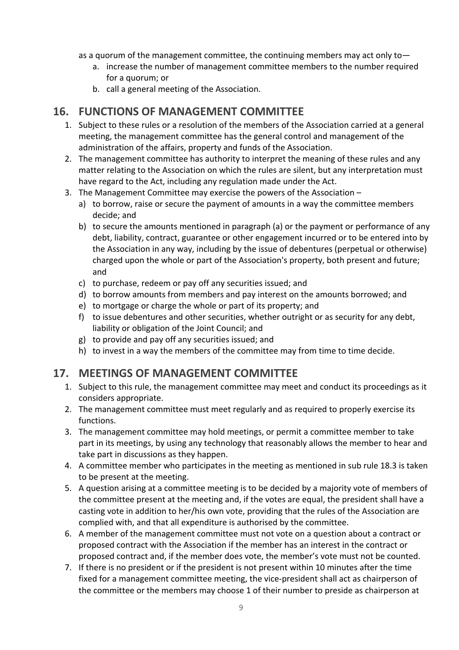as a quorum of the management committee, the continuing members may act only to—

- a. increase the number of management committee members to the number required for a quorum; or
- b. call a general meeting of the Association.

#### **16. FUNCTIONS OF MANAGEMENT COMMITTEE**

- 1. Subject to these rules or a resolution of the members of the Association carried at a general meeting, the management committee has the general control and management of the administration of the affairs, property and funds of the Association.
- 2. The management committee has authority to interpret the meaning of these rules and any matter relating to the Association on which the rules are silent, but any interpretation must have regard to the Act, including any regulation made under the Act.
- 3. The Management Committee may exercise the powers of the Association
	- a) to borrow, raise or secure the payment of amounts in a way the committee members decide; and
	- b) to secure the amounts mentioned in paragraph (a) or the payment or performance of any debt, liability, contract, guarantee or other engagement incurred or to be entered into by the Association in any way, including by the issue of debentures (perpetual or otherwise) charged upon the whole or part of the Association's property, both present and future; and
	- c) to purchase, redeem or pay off any securities issued; and
	- d) to borrow amounts from members and pay interest on the amounts borrowed; and
	- e) to mortgage or charge the whole or part of its property; and
	- f) to issue debentures and other securities, whether outright or as security for any debt, liability or obligation of the Joint Council; and
	- g) to provide and pay off any securities issued; and
	- h) to invest in a way the members of the committee may from time to time decide.

#### **17. MEETINGS OF MANAGEMENT COMMITTEE**

- 1. Subject to this rule, the management committee may meet and conduct its proceedings as it considers appropriate.
- 2. The management committee must meet regularly and as required to properly exercise its functions.
- 3. The management committee may hold meetings, or permit a committee member to take part in its meetings, by using any technology that reasonably allows the member to hear and take part in discussions as they happen.
- 4. A committee member who participates in the meeting as mentioned in sub rule 18.3 is taken to be present at the meeting.
- 5. A question arising at a committee meeting is to be decided by a majority vote of members of the committee present at the meeting and, if the votes are equal, the president shall have a casting vote in addition to her/his own vote, providing that the rules of the Association are complied with, and that all expenditure is authorised by the committee.
- 6. A member of the management committee must not vote on a question about a contract or proposed contract with the Association if the member has an interest in the contract or proposed contract and, if the member does vote, the member's vote must not be counted.
- 7. If there is no president or if the president is not present within 10 minutes after the time fixed for a management committee meeting, the vice-president shall act as chairperson of the committee or the members may choose 1 of their number to preside as chairperson at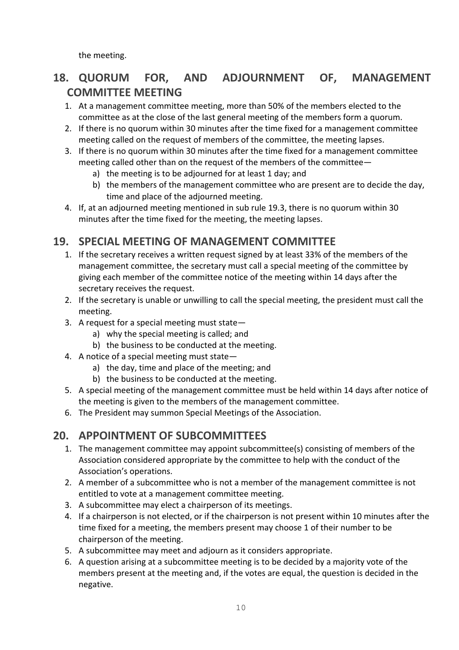the meeting.

## **18. QUORUM FOR, AND ADJOURNMENT OF, MANAGEMENT COMMITTEE MEETING**

- 1. At a management committee meeting, more than 50% of the members elected to the committee as at the close of the last general meeting of the members form a quorum.
- 2. If there is no quorum within 30 minutes after the time fixed for a management committee meeting called on the request of members of the committee, the meeting lapses.
- 3. If there is no quorum within 30 minutes after the time fixed for a management committee meeting called other than on the request of the members of the committee
	- a) the meeting is to be adjourned for at least 1 day; and
	- b) the members of the management committee who are present are to decide the day, time and place of the adjourned meeting.
- 4. If, at an adjourned meeting mentioned in sub rule 19.3, there is no quorum within 30 minutes after the time fixed for the meeting, the meeting lapses.

#### **19. SPECIAL MEETING OF MANAGEMENT COMMITTEE**

- 1. If the secretary receives a written request signed by at least 33% of the members of the management committee, the secretary must call a special meeting of the committee by giving each member of the committee notice of the meeting within 14 days after the secretary receives the request.
- 2. If the secretary is unable or unwilling to call the special meeting, the president must call the meeting.
- 3. A request for a special meeting must state
	- a) why the special meeting is called; and
	- b) the business to be conducted at the meeting.
- 4. A notice of a special meeting must state
	- a) the day, time and place of the meeting; and
	- b) the business to be conducted at the meeting.
- 5. A special meeting of the management committee must be held within 14 days after notice of the meeting is given to the members of the management committee.
- 6. The President may summon Special Meetings of the Association.

## **20. APPOINTMENT OF SUBCOMMITTEES**

- 1. The management committee may appoint subcommittee(s) consisting of members of the Association considered appropriate by the committee to help with the conduct of the Association's operations.
- 2. A member of a subcommittee who is not a member of the management committee is not entitled to vote at a management committee meeting.
- 3. A subcommittee may elect a chairperson of its meetings.
- 4. If a chairperson is not elected, or if the chairperson is not present within 10 minutes after the time fixed for a meeting, the members present may choose 1 of their number to be chairperson of the meeting.
- 5. A subcommittee may meet and adjourn as it considers appropriate.
- 6. A question arising at a subcommittee meeting is to be decided by a majority vote of the members present at the meeting and, if the votes are equal, the question is decided in the negative.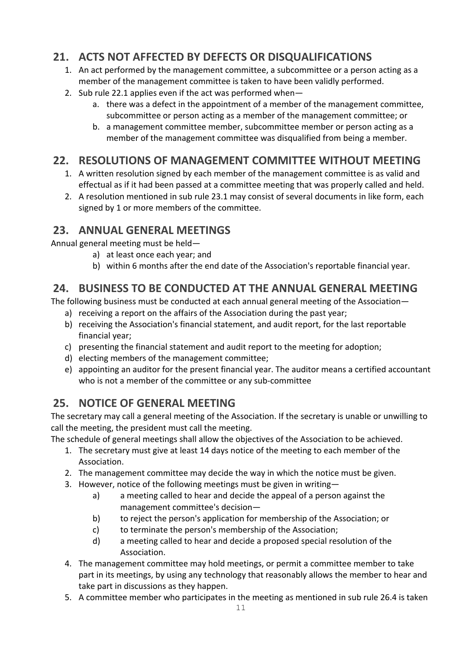## **21. ACTS NOT AFFECTED BY DEFECTS OR DISQUALIFICATIONS**

- 1. An act performed by the management committee, a subcommittee or a person acting as a member of the management committee is taken to have been validly performed.
- 2. Sub rule 22.1 applies even if the act was performed when
	- a. there was a defect in the appointment of a member of the management committee, subcommittee or person acting as a member of the management committee; or
	- b. a management committee member, subcommittee member or person acting as a member of the management committee was disqualified from being a member.

#### **22. RESOLUTIONS OF MANAGEMENT COMMITTEE WITHOUT MEETING**

- 1. A written resolution signed by each member of the management committee is as valid and effectual as if it had been passed at a committee meeting that was properly called and held.
- 2. A resolution mentioned in sub rule 23.1 may consist of several documents in like form, each signed by 1 or more members of the committee.

#### **23. ANNUAL GENERAL MEETINGS**

Annual general meeting must be held—

- a) at least once each year; and
- b) within 6 months after the end date of the Association's reportable financial year.

#### **24. BUSINESS TO BE CONDUCTED AT THE ANNUAL GENERAL MEETING**

The following business must be conducted at each annual general meeting of the Association—

- a) receiving a report on the affairs of the Association during the past year;
- b) receiving the Association's financial statement, and audit report, for the last reportable financial year;
- c) presenting the financial statement and audit report to the meeting for adoption;
- d) electing members of the management committee;
- e) appointing an auditor for the present financial year. The auditor means a certified accountant who is not a member of the committee or any sub-committee

## **25. NOTICE OF GENERAL MEETING**

The secretary may call a general meeting of the Association. If the secretary is unable or unwilling to call the meeting, the president must call the meeting.

The schedule of general meetings shall allow the objectives of the Association to be achieved.

- 1. The secretary must give at least 14 days notice of the meeting to each member of the Association.
- 2. The management committee may decide the way in which the notice must be given.
- 3. However, notice of the following meetings must be given in writing
	- a) a meeting called to hear and decide the appeal of a person against the management committee's decision—
	- b) to reject the person's application for membership of the Association; or
	- c) to terminate the person's membership of the Association;
	- d) a meeting called to hear and decide a proposed special resolution of the Association.
- 4. The management committee may hold meetings, or permit a committee member to take part in its meetings, by using any technology that reasonably allows the member to hear and take part in discussions as they happen.
- 5. A committee member who participates in the meeting as mentioned in sub rule 26.4 is taken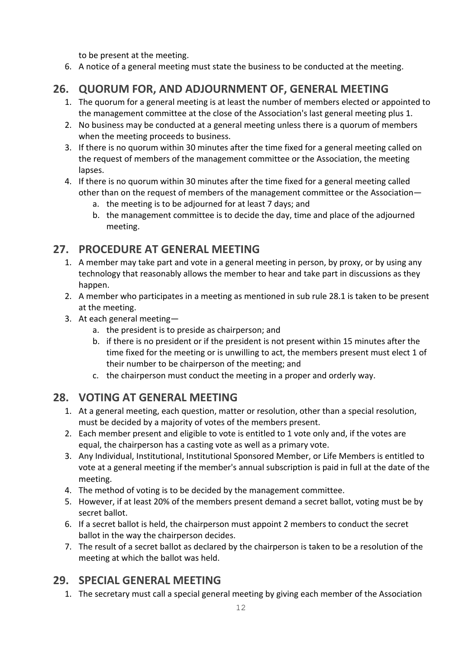to be present at the meeting.

6. A notice of a general meeting must state the business to be conducted at the meeting.

## **26. QUORUM FOR, AND ADJOURNMENT OF, GENERAL MEETING**

- 1. The quorum for a general meeting is at least the number of members elected or appointed to the management committee at the close of the Association's last general meeting plus 1.
- 2. No business may be conducted at a general meeting unless there is a quorum of members when the meeting proceeds to business.
- 3. If there is no quorum within 30 minutes after the time fixed for a general meeting called on the request of members of the management committee or the Association, the meeting lapses.
- 4. If there is no quorum within 30 minutes after the time fixed for a general meeting called other than on the request of members of the management committee or the Association
	- a. the meeting is to be adjourned for at least 7 days; and
	- b. the management committee is to decide the day, time and place of the adjourned meeting.

## **27. PROCEDURE AT GENERAL MEETING**

- 1. A member may take part and vote in a general meeting in person, by proxy, or by using any technology that reasonably allows the member to hear and take part in discussions as they happen.
- 2. A member who participates in a meeting as mentioned in sub rule 28.1 is taken to be present at the meeting.
- 3. At each general meeting
	- a. the president is to preside as chairperson; and
	- b. if there is no president or if the president is not present within 15 minutes after the time fixed for the meeting or is unwilling to act, the members present must elect 1 of their number to be chairperson of the meeting; and
	- c. the chairperson must conduct the meeting in a proper and orderly way.

## **28. VOTING AT GENERAL MEETING**

- 1. At a general meeting, each question, matter or resolution, other than a special resolution, must be decided by a majority of votes of the members present.
- 2. Each member present and eligible to vote is entitled to 1 vote only and, if the votes are equal, the chairperson has a casting vote as well as a primary vote.
- 3. Any Individual, Institutional, Institutional Sponsored Member, or Life Members is entitled to vote at a general meeting if the member's annual subscription is paid in full at the date of the meeting.
- 4. The method of voting is to be decided by the management committee.
- 5. However, if at least 20% of the members present demand a secret ballot, voting must be by secret ballot.
- 6. If a secret ballot is held, the chairperson must appoint 2 members to conduct the secret ballot in the way the chairperson decides.
- 7. The result of a secret ballot as declared by the chairperson is taken to be a resolution of the meeting at which the ballot was held.

## **29. SPECIAL GENERAL MEETING**

1. The secretary must call a special general meeting by giving each member of the Association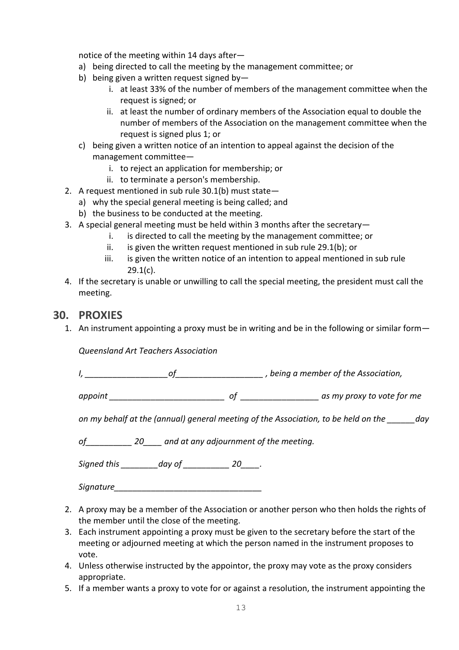notice of the meeting within 14 days after—

- a) being directed to call the meeting by the management committee; or
- b) being given a written request signed by
	- i. at least 33% of the number of members of the management committee when the request is signed; or
	- ii. at least the number of ordinary members of the Association equal to double the number of members of the Association on the management committee when the request is signed plus 1; or
- c) being given a written notice of an intention to appeal against the decision of the management committee
	- i. to reject an application for membership; or
	- ii. to terminate a person's membership.
- 2. A request mentioned in sub rule 30.1(b) must state
	- a) why the special general meeting is being called; and
	- b) the business to be conducted at the meeting.
- 3. A special general meeting must be held within 3 months after the secretary
	- i. is directed to call the meeting by the management committee; or
	- ii. is given the written request mentioned in sub rule 29.1(b); or
	- iii. is given the written notice of an intention to appeal mentioned in sub rule 29.1(c).
- 4. If the secretary is unable or unwilling to call the special meeting, the president must call the meeting.

#### **30. PROXIES**

1. An instrument appointing a proxy must be in writing and be in the following or similar form—

*Queensland Art Teachers Association*

*I, \_\_\_\_\_\_\_\_\_\_\_\_\_\_\_\_\_\_of\_\_\_\_\_\_\_\_\_\_\_\_\_\_\_\_\_\_\_ , being a member of the Association,* 

*appoint \_\_\_\_\_\_\_\_\_\_\_\_\_\_\_\_\_\_\_\_\_\_\_\_\_ of \_\_\_\_\_\_\_\_\_\_\_\_\_\_\_\_\_ as my proxy to vote for me* 

*on my behalf at the (annual) general meeting of the Association, to be held on the \_\_\_\_\_\_day* 

*of\_\_\_\_\_\_\_\_\_\_ 20\_\_\_\_ and at any adjournment of the meeting.*

*Signed this \_\_\_\_\_\_\_\_day of \_\_\_\_\_\_\_\_\_\_ 20\_\_\_\_.*

*Signature* 

- 2. A proxy may be a member of the Association or another person who then holds the rights of the member until the close of the meeting.
- 3. Each instrument appointing a proxy must be given to the secretary before the start of the meeting or adjourned meeting at which the person named in the instrument proposes to vote.
- 4. Unless otherwise instructed by the appointor, the proxy may vote as the proxy considers appropriate.
- 5. If a member wants a proxy to vote for or against a resolution, the instrument appointing the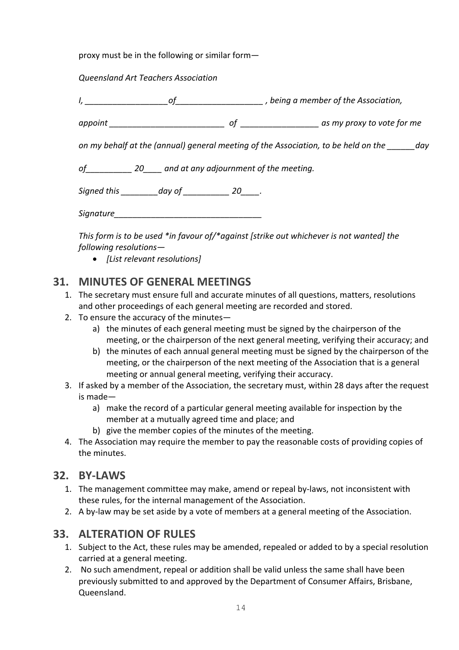proxy must be in the following or similar form—

#### *Queensland Art Teachers Association*

*I, \_\_\_\_\_\_\_\_\_\_\_\_\_\_\_\_\_\_of\_\_\_\_\_\_\_\_\_\_\_\_\_\_\_\_\_\_\_ , being a member of the Association,* 

*appoint \_\_\_\_\_\_\_\_\_\_\_\_\_\_\_\_\_\_\_\_\_\_\_\_\_ of \_\_\_\_\_\_\_\_\_\_\_\_\_\_\_\_\_ as my proxy to vote for me* 

*on my behalf at the (annual) general meeting of the Association, to be held on the \_\_\_\_\_\_day* 

*of\_\_\_\_\_\_\_\_\_\_ 20\_\_\_\_ and at any adjournment of the meeting.*

*Signed this \_\_\_\_\_\_\_\_day of \_\_\_\_\_\_\_\_\_\_ 20\_\_\_\_.*

*Signature\_\_\_\_\_\_\_\_\_\_\_\_\_\_\_\_\_\_\_\_\_\_\_\_\_\_\_\_\_\_\_\_*

*This form is to be used \*in favour of/\*against [strike out whichever is not wanted] the following resolutions—*

• *[List relevant resolutions]*

#### **31. MINUTES OF GENERAL MEETINGS**

- 1. The secretary must ensure full and accurate minutes of all questions, matters, resolutions and other proceedings of each general meeting are recorded and stored.
- 2. To ensure the accuracy of the minutes
	- a) the minutes of each general meeting must be signed by the chairperson of the meeting, or the chairperson of the next general meeting, verifying their accuracy; and
	- b) the minutes of each annual general meeting must be signed by the chairperson of the meeting, or the chairperson of the next meeting of the Association that is a general meeting or annual general meeting, verifying their accuracy.
- 3. If asked by a member of the Association, the secretary must, within 28 days after the request is made
	- a) make the record of a particular general meeting available for inspection by the member at a mutually agreed time and place; and
	- b) give the member copies of the minutes of the meeting.
- 4. The Association may require the member to pay the reasonable costs of providing copies of the minutes.

#### **32. BY-LAWS**

- 1. The management committee may make, amend or repeal by-laws, not inconsistent with these rules, for the internal management of the Association.
- 2. A by-law may be set aside by a vote of members at a general meeting of the Association.

#### **33. ALTERATION OF RULES**

- 1. Subject to the Act, these rules may be amended, repealed or added to by a special resolution carried at a general meeting.
- 2. No such amendment, repeal or addition shall be valid unless the same shall have been previously submitted to and approved by the Department of Consumer Affairs, Brisbane, Queensland.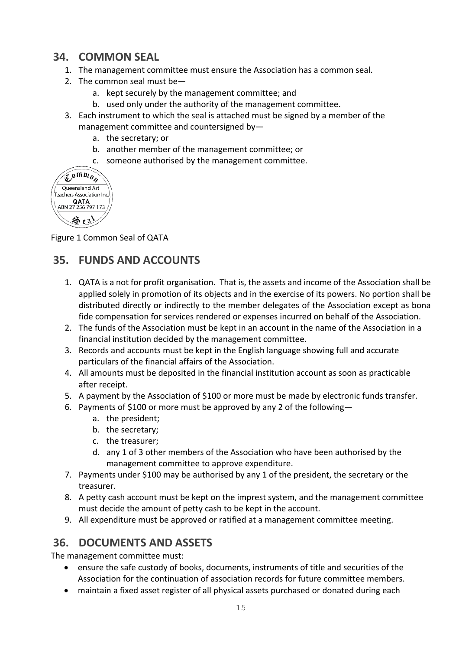#### **34. COMMON SEAL**

- 1. The management committee must ensure the Association has a common seal.
- 2. The common seal must be
	- a. kept securely by the management committee; and
	- b. used only under the authority of the management committee.
- 3. Each instrument to which the seal is attached must be signed by a member of the management committee and countersigned by
	- a. the secretary; or
	- b. another member of the management committee; or
	- c. someone authorised by the management committee.

| $\mathbb{C}^{\mathfrak{n}m}\mathfrak{n}_{o}$ |
|----------------------------------------------|
| Queensland Art                               |
| Teachers Association Inc.                    |
| QATA<br>ABN 27 256 797 173                   |
|                                              |

Figure 1 Common Seal of QATA

## **35. FUNDS AND ACCOUNTS**

- 1. QATA is a not for profit organisation. That is, the assets and income of the Association shall be applied solely in promotion of its objects and in the exercise of its powers. No portion shall be distributed directly or indirectly to the member delegates of the Association except as bona fide compensation for services rendered or expenses incurred on behalf of the Association.
- 2. The funds of the Association must be kept in an account in the name of the Association in a financial institution decided by the management committee.
- 3. Records and accounts must be kept in the English language showing full and accurate particulars of the financial affairs of the Association.
- 4. All amounts must be deposited in the financial institution account as soon as practicable after receipt.
- 5. A payment by the Association of \$100 or more must be made by electronic funds transfer.
- 6. Payments of \$100 or more must be approved by any 2 of the following
	- a. the president;
	- b. the secretary;
	- c. the treasurer;
	- d. any 1 of 3 other members of the Association who have been authorised by the management committee to approve expenditure.
- 7. Payments under \$100 may be authorised by any 1 of the president, the secretary or the treasurer.
- 8. A petty cash account must be kept on the imprest system, and the management committee must decide the amount of petty cash to be kept in the account.
- 9. All expenditure must be approved or ratified at a management committee meeting.

#### **36. DOCUMENTS AND ASSETS**

The management committee must:

- ensure the safe custody of books, documents, instruments of title and securities of the Association for the continuation of association records for future committee members.
- maintain a fixed asset register of all physical assets purchased or donated during each